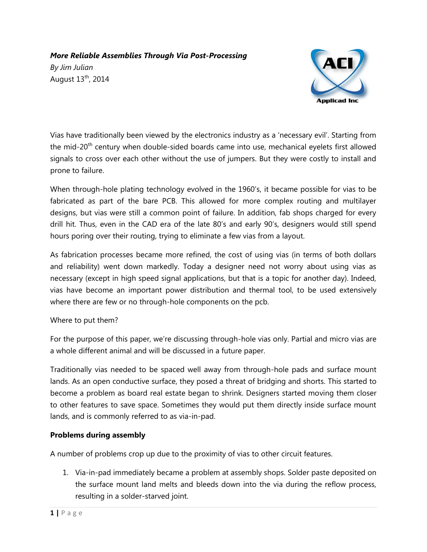# *More Reliable Assemblies Through Via Post-Processing*

*By Jim Julian* August 13<sup>th</sup>, 2014



Vias have traditionally been viewed by the electronics industry as a 'necessary evil'. Starting from the mid-20<sup>th</sup> century when double-sided boards came into use, mechanical eyelets first allowed signals to cross over each other without the use of jumpers. But they were costly to install and prone to failure.

When through-hole plating technology evolved in the 1960's, it became possible for vias to be fabricated as part of the bare PCB. This allowed for more complex routing and multilayer designs, but vias were still a common point of failure. In addition, fab shops charged for every drill hit. Thus, even in the CAD era of the late 80's and early 90's, designers would still spend hours poring over their routing, trying to eliminate a few vias from a layout.

As fabrication processes became more refined, the cost of using vias (in terms of both dollars and reliability) went down markedly. Today a designer need not worry about using vias as necessary (except in high speed signal applications, but that is a topic for another day). Indeed, vias have become an important power distribution and thermal tool, to be used extensively where there are few or no through-hole components on the pcb.

## Where to put them?

For the purpose of this paper, we're discussing through-hole vias only. Partial and micro vias are a whole different animal and will be discussed in a future paper.

Traditionally vias needed to be spaced well away from through-hole pads and surface mount lands. As an open conductive surface, they posed a threat of bridging and shorts. This started to become a problem as board real estate began to shrink. Designers started moving them closer to other features to save space. Sometimes they would put them directly inside surface mount lands, and is commonly referred to as via-in-pad.

## **Problems during assembly**

A number of problems crop up due to the proximity of vias to other circuit features.

1. Via-in-pad immediately became a problem at assembly shops. Solder paste deposited on the surface mount land melts and bleeds down into the via during the reflow process, resulting in a solder-starved joint.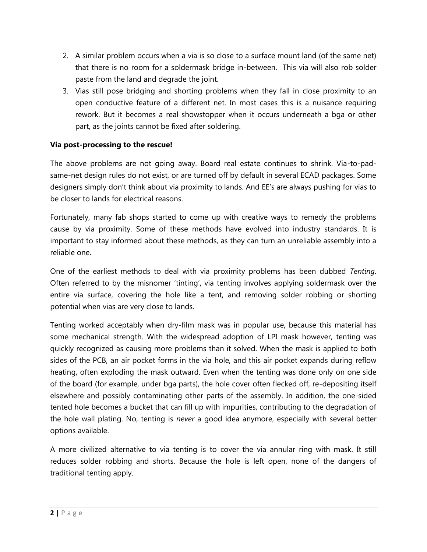- 2. A similar problem occurs when a via is so close to a surface mount land (of the same net) that there is no room for a soldermask bridge in-between. This via will also rob solder paste from the land and degrade the joint.
- 3. Vias still pose bridging and shorting problems when they fall in close proximity to an open conductive feature of a different net. In most cases this is a nuisance requiring rework. But it becomes a real showstopper when it occurs underneath a bga or other part, as the joints cannot be fixed after soldering.

## **Via post-processing to the rescue!**

The above problems are not going away. Board real estate continues to shrink. Via-to-padsame-net design rules do not exist, or are turned off by default in several ECAD packages. Some designers simply don't think about via proximity to lands. And EE's are always pushing for vias to be closer to lands for electrical reasons.

Fortunately, many fab shops started to come up with creative ways to remedy the problems cause by via proximity. Some of these methods have evolved into industry standards. It is important to stay informed about these methods, as they can turn an unreliable assembly into a reliable one.

One of the earliest methods to deal with via proximity problems has been dubbed *Tenting*. Often referred to by the misnomer 'tinting', via tenting involves applying soldermask over the entire via surface, covering the hole like a tent, and removing solder robbing or shorting potential when vias are very close to lands.

Tenting worked acceptably when dry-film mask was in popular use, because this material has some mechanical strength. With the widespread adoption of LPI mask however, tenting was quickly recognized as causing more problems than it solved. When the mask is applied to both sides of the PCB, an air pocket forms in the via hole, and this air pocket expands during reflow heating, often exploding the mask outward. Even when the tenting was done only on one side of the board (for example, under bga parts), the hole cover often flecked off, re-depositing itself elsewhere and possibly contaminating other parts of the assembly. In addition, the one-sided tented hole becomes a bucket that can fill up with impurities, contributing to the degradation of the hole wall plating. No, tenting is *never* a good idea anymore, especially with several better options available.

A more civilized alternative to via tenting is to cover the via annular ring with mask. It still reduces solder robbing and shorts. Because the hole is left open, none of the dangers of traditional tenting apply.